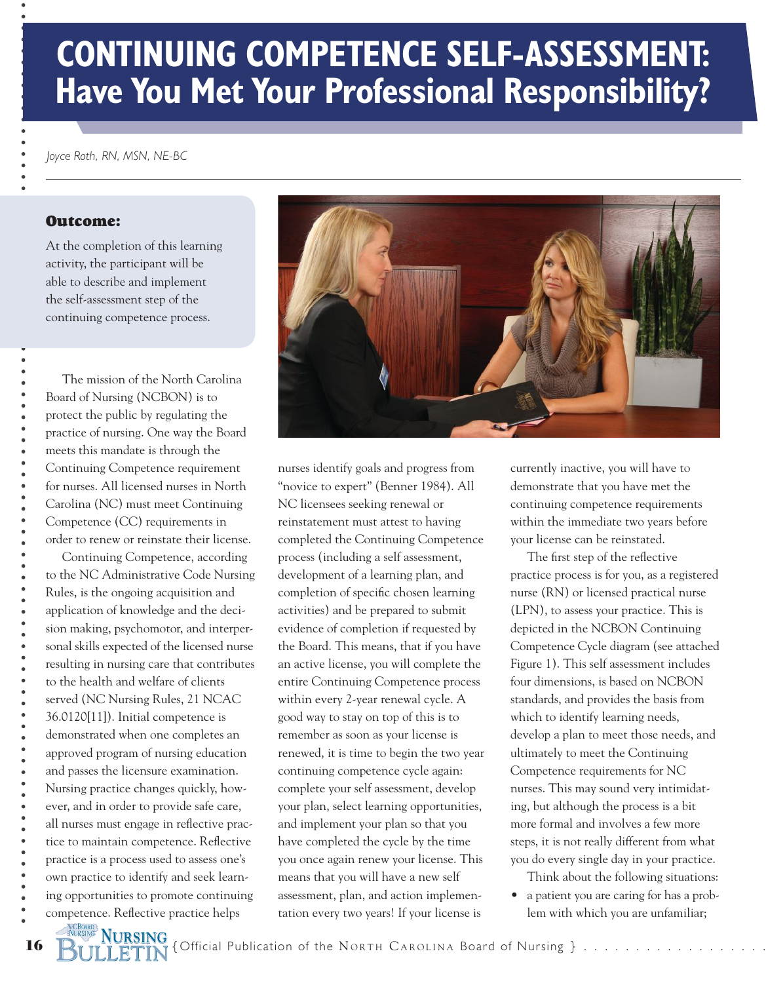# **CONTINUING COMPETENCE SELF-ASSESSMENT: Have You Met Your Professional Responsibility?**

*Joyce Roth, RN, MSN, NE-BC*

#### Outcome:

At the completion of this learning activity, the participant will be able to describe and implement the self-assessment step of the continuing competence process.

 The mission of the North Carolina Board of Nursing (NCBON) is to protect the public by regulating the practice of nursing. One way the Board meets this mandate is through the Continuing Competence requirement for nurses. All licensed nurses in North Carolina (NC) must meet Continuing Competence (CC) requirements in order to renew or reinstate their license.

 Continuing Competence, according to the NC Administrative Code Nursing Rules, is the ongoing acquisition and application of knowledge and the decision making, psychomotor, and interpersonal skills expected of the licensed nurse resulting in nursing care that contributes to the health and welfare of clients served (NC Nursing Rules, 21 NCAC 36.0120[11]). Initial competence is demonstrated when one completes an approved program of nursing education and passes the licensure examination. Nursing practice changes quickly, however, and in order to provide safe care, all nurses must engage in reflective practice to maintain competence. Reflective practice is a process used to assess one's own practice to identify and seek learning opportunities to promote continuing competence. Reflective practice helps

**NIRSING** 



nurses identify goals and progress from "novice to expert" (Benner 1984). All NC licensees seeking renewal or reinstatement must attest to having completed the Continuing Competence process (including a self assessment, development of a learning plan, and completion of specific chosen learning activities) and be prepared to submit evidence of completion if requested by the Board. This means, that if you have an active license, you will complete the entire Continuing Competence process within every 2-year renewal cycle. A good way to stay on top of this is to remember as soon as your license is renewed, it is time to begin the two year continuing competence cycle again: complete your self assessment, develop your plan, select learning opportunities, and implement your plan so that you have completed the cycle by the time you once again renew your license. This means that you will have a new self assessment, plan, and action implementation every two years! If your license is

currently inactive, you will have to demonstrate that you have met the continuing competence requirements within the immediate two years before your license can be reinstated.

 The first step of the reflective practice process is for you, as a registered nurse (RN) or licensed practical nurse (LPN), to assess your practice. This is depicted in the NCBON Continuing Competence Cycle diagram (see attached Figure 1). This self assessment includes four dimensions, is based on NCBON standards, and provides the basis from which to identify learning needs, develop a plan to meet those needs, and ultimately to meet the Continuing Competence requirements for NC nurses. This may sound very intimidating, but although the process is a bit more formal and involves a few more steps, it is not really different from what you do every single day in your practice.

Think about the following situations:

• a patient you are caring for has a problem with which you are unfamiliar;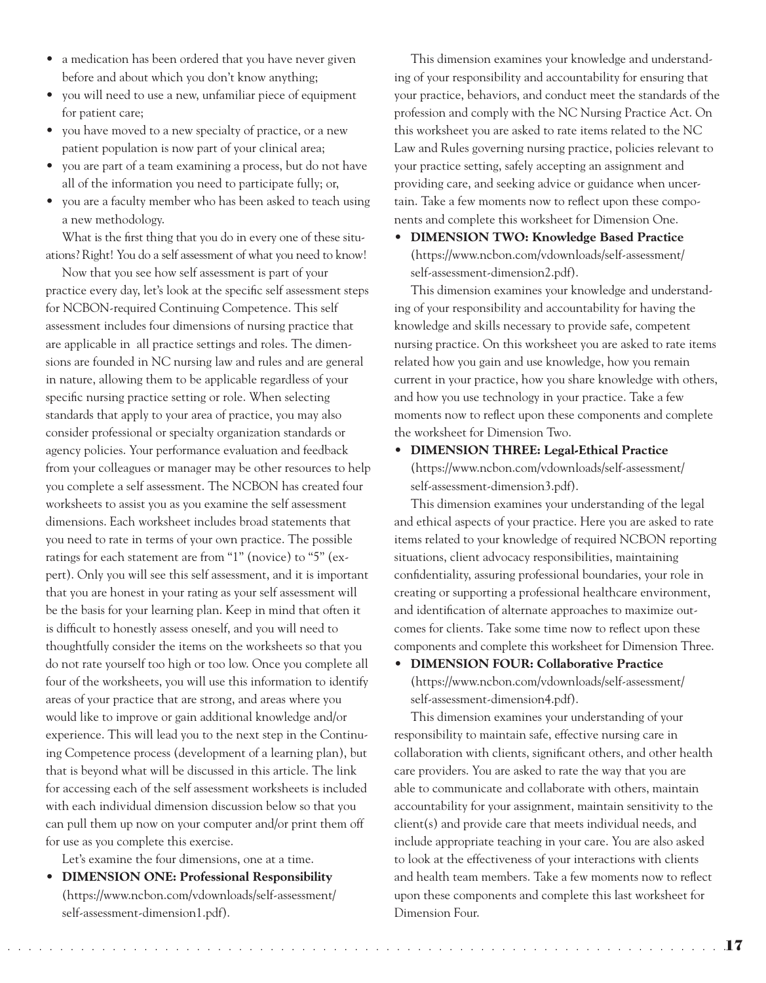- a medication has been ordered that you have never given before and about which you don't know anything;
- you will need to use a new, unfamiliar piece of equipment for patient care;
- you have moved to a new specialty of practice, or a new patient population is now part of your clinical area;
- you are part of a team examining a process, but do not have all of the information you need to participate fully; or,
- you are a faculty member who has been asked to teach using a new methodology.

 What is the first thing that you do in every one of these situations? Right! You do a self assessment of what you need to know!

 Now that you see how self assessment is part of your practice every day, let's look at the specific self assessment steps for NCBON-required Continuing Competence. This self assessment includes four dimensions of nursing practice that are applicable in all practice settings and roles. The dimensions are founded in NC nursing law and rules and are general in nature, allowing them to be applicable regardless of your specific nursing practice setting or role. When selecting standards that apply to your area of practice, you may also consider professional or specialty organization standards or agency policies. Your performance evaluation and feedback from your colleagues or manager may be other resources to help you complete a self assessment. The NCBON has created four worksheets to assist you as you examine the self assessment dimensions. Each worksheet includes broad statements that you need to rate in terms of your own practice. The possible ratings for each statement are from "1" (novice) to "5" (expert). Only you will see this self assessment, and it is important that you are honest in your rating as your self assessment will be the basis for your learning plan. Keep in mind that often it is difficult to honestly assess oneself, and you will need to thoughtfully consider the items on the worksheets so that you do not rate yourself too high or too low. Once you complete all four of the worksheets, you will use this information to identify areas of your practice that are strong, and areas where you would like to improve or gain additional knowledge and/or experience. This will lead you to the next step in the Continuing Competence process (development of a learning plan), but that is beyond what will be discussed in this article. The link for accessing each of the self assessment worksheets is included with each individual dimension discussion below so that you can pull them up now on your computer and/or print them off for use as you complete this exercise.

Let's examine the four dimensions, one at a time.

• **DIMENSION ONE: Professional Responsibility** (https://www.ncbon.com/vdownloads/self-assessment/ self-assessment-dimension1.pdf).

 This dimension examines your knowledge and understanding of your responsibility and accountability for ensuring that your practice, behaviors, and conduct meet the standards of the profession and comply with the NC Nursing Practice Act. On this worksheet you are asked to rate items related to the NC Law and Rules governing nursing practice, policies relevant to your practice setting, safely accepting an assignment and providing care, and seeking advice or guidance when uncertain. Take a few moments now to reflect upon these components and complete this worksheet for Dimension One.

• **DIMENSION TWO: Knowledge Based Practice** (https://www.ncbon.com/vdownloads/self-assessment/ self-assessment-dimension2.pdf).

 This dimension examines your knowledge and understanding of your responsibility and accountability for having the knowledge and skills necessary to provide safe, competent nursing practice. On this worksheet you are asked to rate items related how you gain and use knowledge, how you remain current in your practice, how you share knowledge with others, and how you use technology in your practice. Take a few moments now to reflect upon these components and complete the worksheet for Dimension Two.

• **DIMENSION THREE: Legal-Ethical Practice** (https://www.ncbon.com/vdownloads/self-assessment/ self-assessment-dimension3.pdf).

 This dimension examines your understanding of the legal and ethical aspects of your practice. Here you are asked to rate items related to your knowledge of required NCBON reporting situations, client advocacy responsibilities, maintaining confidentiality, assuring professional boundaries, your role in creating or supporting a professional healthcare environment, and identification of alternate approaches to maximize outcomes for clients. Take some time now to reflect upon these components and complete this worksheet for Dimension Three.

• **DIMENSION FOUR: Collaborative Practice** (https://www.ncbon.com/vdownloads/self-assessment/ self-assessment-dimension4.pdf).

 This dimension examines your understanding of your responsibility to maintain safe, effective nursing care in collaboration with clients, significant others, and other health care providers. You are asked to rate the way that you are able to communicate and collaborate with others, maintain accountability for your assignment, maintain sensitivity to the client(s) and provide care that meets individual needs, and include appropriate teaching in your care. You are also asked to look at the effectiveness of your interactions with clients and health team members. Take a few moments now to reflect upon these components and complete this last worksheet for Dimension Four.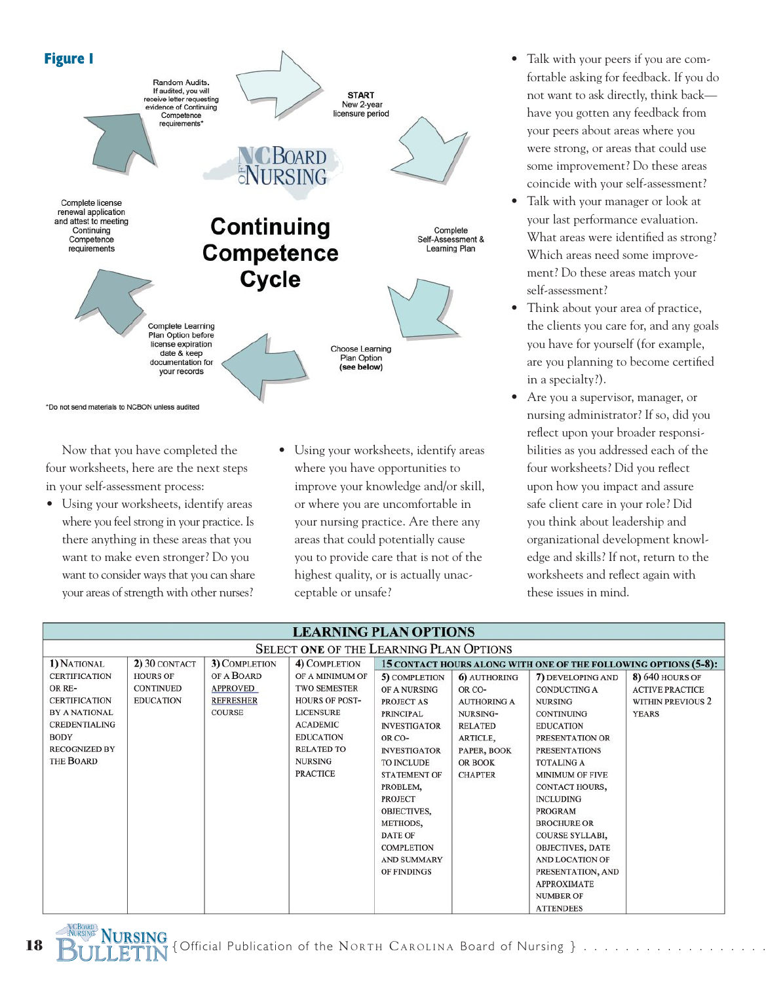

 Now that you have completed the four worksheets, here are the next steps in your self-assessment process:

• Using your worksheets, identify areas where you feel strong in your practice. Is there anything in these areas that you want to make even stronger? Do you want to consider ways that you can share your areas of strength with other nurses?

**NURSING**

• Using your worksheets, identify areas where you have opportunities to improve your knowledge and/or skill, or where you are uncomfortable in your nursing practice. Are there any areas that could potentially cause you to provide care that is not of the highest quality, or is actually unac ceptable or unsafe?

- Talk with your peers if you are com fortable asking for feedback. If you do not want to ask directly, think back have you gotten any feedback from your peers about areas where you were strong, or areas that could use some improvement? Do these areas coincide with your self-assessment?
- Talk with your manager or look at your last performance evaluation. What areas were identified as strong? Which areas need some improve ment? Do these areas match your self-assessment?
- Think about your area of practice, the clients you care for, and any goals you have for yourself (for example, are you planning to become certified in a specialty?).
- Are you a supervisor, manager, or nursing administrator? If so, did you reflect upon your broader responsi bilities as you addressed each of the four worksheets? Did you reflect upon how you impact and assure safe client care in your role? Did you think about leadership and organizational development knowl edge and skills? If not, return to the worksheets and reflect again with these issues in mind.

| <b>LEARNING PLAN OPTIONS</b>                   |                  |                  |                       |                                                                 |                    |                         |                          |
|------------------------------------------------|------------------|------------------|-----------------------|-----------------------------------------------------------------|--------------------|-------------------------|--------------------------|
| <b>SELECT ONE OF THE LEARNING PLAN OPTIONS</b> |                  |                  |                       |                                                                 |                    |                         |                          |
| 1) NATIONAL                                    | 2) 30 CONTACT    | 3) COMPLETION    | 4) COMPLETION         | 15 CONTACT HOURS ALONG WITH ONE OF THE FOLLOWING OPTIONS (5-8): |                    |                         |                          |
| <b>CERTIFICATION</b>                           | <b>HOURS OF</b>  | OF A BOARD       | OF A MINIMUM OF       | 5) COMPLETION                                                   | 6) AUTHORING       | 7) DEVELOPING AND       | <b>8) 640 HOURS OF</b>   |
| OR RE-                                         | <b>CONTINUED</b> | <b>APPROVED</b>  | <b>TWO SEMESTER</b>   | OF A NURSING                                                    | OR CO-             | <b>CONDUCTING A</b>     | <b>ACTIVE PRACTICE</b>   |
| <b>CERTIFICATION</b>                           | <b>EDUCATION</b> | <b>REFRESHER</b> | <b>HOURS OF POST-</b> | PROJECT AS                                                      | <b>AUTHORING A</b> | <b>NURSING</b>          | <b>WITHIN PREVIOUS 2</b> |
| <b>BY A NATIONAL</b>                           |                  | <b>COURSE</b>    | <b>LICENSURE</b>      | <b>PRINCIPAL</b>                                                | NURSING-           | <b>CONTINUING</b>       | <b>YEARS</b>             |
| <b>CREDENTIALING</b>                           |                  |                  | <b>ACADEMIC</b>       | <b>INVESTIGATOR</b>                                             | <b>RELATED</b>     | <b>EDUCATION</b>        |                          |
| <b>BODY</b>                                    |                  |                  | <b>EDUCATION</b>      | OR CO-                                                          | ARTICLE,           | PRESENTATION OR         |                          |
| <b>RECOGNIZED BY</b>                           |                  |                  | <b>RELATED TO</b>     | <b>INVESTIGATOR</b>                                             | PAPER, BOOK        | <b>PRESENTATIONS</b>    |                          |
| THE BOARD                                      |                  |                  | <b>NURSING</b>        | <b>TO INCLUDE</b>                                               | OR BOOK            | <b>TOTALING A</b>       |                          |
|                                                |                  |                  | <b>PRACTICE</b>       | <b>STATEMENT OF</b>                                             | <b>CHAPTER</b>     | <b>MINIMUM OF FIVE</b>  |                          |
|                                                |                  |                  |                       | PROBLEM,                                                        |                    | CONTACT HOURS,          |                          |
|                                                |                  |                  |                       | <b>PROJECT</b>                                                  |                    | <b>INCLUDING</b>        |                          |
|                                                |                  |                  |                       | OBJECTIVES,                                                     |                    | <b>PROGRAM</b>          |                          |
|                                                |                  |                  |                       | METHODS,                                                        |                    | <b>BROCHURE OR</b>      |                          |
|                                                |                  |                  |                       | <b>DATE OF</b>                                                  |                    | COURSE SYLLABI,         |                          |
|                                                |                  |                  |                       | <b>COMPLETION</b>                                               |                    | <b>OBJECTIVES, DATE</b> |                          |
|                                                |                  |                  |                       | <b>AND SUMMARY</b>                                              |                    | <b>AND LOCATION OF</b>  |                          |
|                                                |                  |                  |                       | OF FINDINGS                                                     |                    | PRESENTATION, AND       |                          |
|                                                |                  |                  |                       |                                                                 |                    | <b>APPROXIMATE</b>      |                          |
|                                                |                  |                  |                       |                                                                 |                    | <b>NUMBER OF</b>        |                          |
|                                                |                  |                  |                       |                                                                 |                    | <b>ATTENDEES</b>        |                          |

**18 ALASSING IS FOURSING** (Official Publication of the NORTH CAROLINA Board of Nursing } .